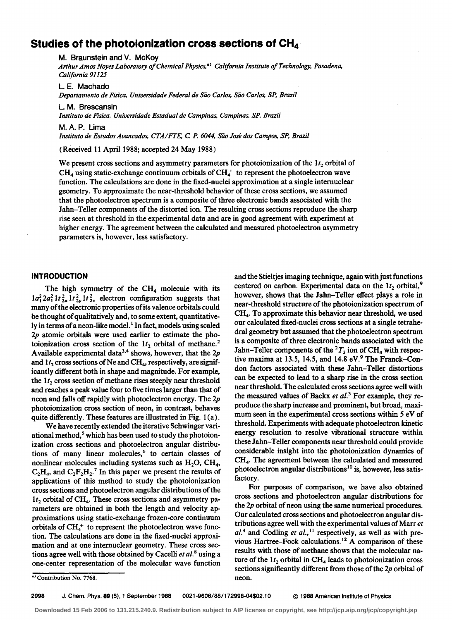# **Studies of the photoionization cross sections of CH<sup>4</sup>**

M. Braunstein and V. McKoy

*Arthur Amos Noyes Laboratory of Chemical Physics,•> California Institute of Technology, Pasadena, California 91125* 

L. E. Machado *Departamento de Fisica, Universidade Federal de sao Carlos, sao Carlos, SP, Brazil* 

L. M. Brescansin *Instituto de Fisica, Universidade Estadual de Campinas, Campinas, SP, Brazil* 

M.A. P. Lima

*Instituto de Estudos Avancados, CTA/FTE, C. P. 6044, sao Jose dos Campos, SP, Brazil* 

(Received 11 April 1988; accepted 24 May 1988)

We present cross sections and asymmetry parameters for photoionization of the  $1t<sub>2</sub>$  orbital of  $CH<sub>4</sub>$  using static-exchange continuum orbitals of  $CH<sub>4</sub><sup>+</sup>$  to represent the photoelectron wave function. The calculations are done in the fixed-nuclei approximation at a single internuclear geometry. To approximate the near-threshold behavior of these cross sections, we assumed that the photoelectron spectrum is a composite of three electronic bands associated with the Jahn-Teller components of the distorted ion. The resulting cross sections reproduce the sharp rise seen at threshold in the experimental data and are in good agreement with experiment at higher energy. The agreement between the calculated and measured photoelectron asymmetry parameters is, however, less satisfactory.

## **INTRODUCTION**

The high symmetry of the  $CH<sub>4</sub>$  molecule with its  $1a_1^2 2a_1^2 1t_{2x}^2 1t_{2y}^2 1t_{2z}^2$  electron configuration suggests that many of the electronic properties of its valence orbitals could be thought of qualitatively and, to some extent, quantitatively in terms of a neon-like model.<sup>1</sup> In fact, models using scaled *2p* atomic orbitals were used earlier to estimate the photoionization cross section of the  $1t_2$  orbital of methane.<sup>2</sup> Available experimental data<sup>3,4</sup> shows, however, that the 2p and  $1t_2$  cross sections of Ne and CH<sub>4</sub>, respectively, are significantly different both in shape and magnitude. For example, the  $1 t_2$  cross section of methane rises steeply near threshold and reaches a peak value four to five times larger than that of neon and falls off rapidly with photoelectron energy. The *2p*  photoionization cross section of neon, in contrast, behaves quite differently. These features are illustrated in Fig. 1 (a).

We have recently extended the iterative Schwinger variational method,<sup>5</sup> which has been used to study the photoionization cross sections and photoelectron angular distributions of many linear molecules, $<sup>6</sup>$  to certain classes of</sup> nonlinear molecules including systems such as  $H_2O$ ,  $CH_4$ ,  $C_2H_4$ , and  $C_2F_2H_2$ .<sup>7</sup> In this paper we present the results of applications of this method to study the photoionization cross sections and photoelectron angular distributions of the  $1t_2$  orbital of CH<sub>4</sub>. These cross sections and asymmetry parameters are obtained in both the length and velocity approximations using static-exchange frozen-core continuum orbitals of  $CH<sub>4</sub><sup>+</sup>$  to represent the photoelectron wave function. The calculations are done in the fixed-nuclei approximation and at one internuclear geometry. These cross sections agree well with those obtained by Cacelli *et al.*<sup>8</sup> using a one-center representation of the molecular wave function

and the Stieltjes imaging technique, again with just functions centered on carbon. Experimental data on the  $1t_2$  orbital,<sup>9</sup> however, shows that the Jahn-Teller effect plays a role in near-threshold structure of the photoionization spectrum of CH4 • To approximate this behavior near threshold, we used our calculated fixed-nuclei cross sections at a single tetrahedral geometry but assumed that the photoelectron spectrum is a composite of three electronic bands associated with the Jahn-Teller components of the  ${}^{2}T_{2}$  ion of CH<sub>4</sub> with respective maxima at 13.5, 14.5, and 14.8 eV.<sup>9</sup> The Franck-Condon factors associated with these Jahn-Teller distortions can be expected to lead to a sharp rise in the cross section near threshold. The calculated cross sections agree well with the measured values of Backx *et al.*<sup>3</sup> For example, they reproduce the sharp increase and prominent, but broad, maximum seen in the experimental cross sections within 5 eV of threshold. Experiments with adequate photoelectron kinetic energy resolution to resolve vibrational structure within these Jahn-Teller components near threshold could provide considerable insight into the photoionization dynamics of CH4 • The agreement between the calculated and measured photoelectron angular distributions 10 is, however, less satisfactory.

For purposes of comparison, we have also obtained cross sections and photoelectron angular distributions for the *2p* orbital of neon using the same numerical procedures. Our calculated cross sections and photoelectron angular distributions agree well with the experimental values of Marr *et* al.<sup>4</sup> and Codling *et al.*,<sup>11</sup> respectively, as well as with previous Hartree-Fock calculations. 12 A comparison of these results with those of methane shows that the molecular nature of the  $1 t_2$  orbital in  $CH_4$  leads to photoionization cross sections significantly different from those of the *2p* orbital of neon.

<sup>•&</sup>gt; Contribution No. 7768.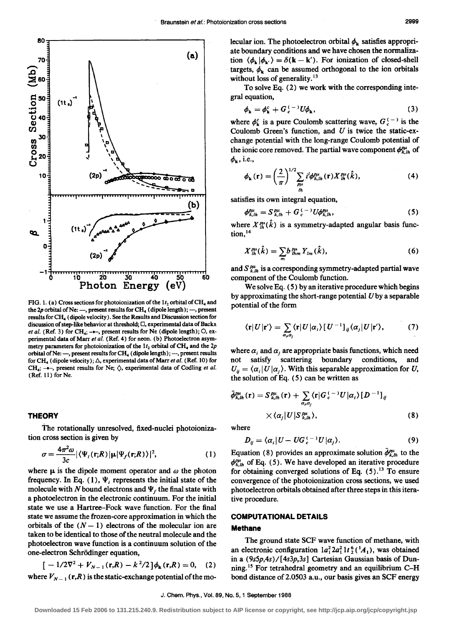

FIG. 1. (a) Cross sections for photoionization of the  $1t_2$  orbital of CH<sub>4</sub> and the  $2p$  orbital of Ne: --, present results for CH<sub>4</sub> (dipole length); ---, present results for CR. (dipole velocity). See the Results and Discussion section for discussion of step-like behavior at threshold;  $\Box$ , experimental data of Backx *et al.* (Ref. 3) for CH<sub>4</sub>; -\*-, present results for Ne (dipole length); O, experimental data of Marr et al. (Ref. 4) for neon. (b) Photoelectron asymmetry parameters for photoionization of the  $1 t_2$  orbital of CH<sub>4</sub> and the  $2p$ orbital of Ne: -, present results for CH<sub>4</sub> (dipole length); ---, present results for CH<sub>4</sub> (dipole velocity);  $\triangle$ , experimental data of Marr *et al.* (Ref. 10) for CH<sub>4</sub>; -\*-, present results for Ne;  $\Diamond$ , experimental data of Codling *et al.* (Ref. 11) for Ne.

#### **THEORY**

The rotationally unresolved, fixed-nuclei photoionization cross section is given by

$$
\sigma = \frac{4\pi^2 \omega}{3c} |\langle \Psi_i(\mathbf{r};R) | \mathbf{\mu} | \Psi_f(\mathbf{r};R) \rangle|^2, \tag{1}
$$

where  $\mu$  is the dipole moment operator and  $\omega$  the photon frequency. In Eq. (1),  $\Psi_i$  represents the initial state of the molecule with N bound electrons and  $\Psi_f$  the final state with a photoelectron in the electronic continuum. For the initial state we use a Hartree-Fock wave function. For the final state we assume the frozen-core approximation in which the orbitals of the  $(N - 1)$  electrons of the molecular ion are taken to be identical to those of the neutral molecule and the photoelectron wave function is a continuum solution of the one-electron Schrödinger equation,

$$
[-1/2\nabla^2 + V_{N-1}(\mathbf{r},R) - k^2/2] \phi_{\mathbf{k}}(\mathbf{r},R) = 0, \quad (2)
$$

where  $V_{N-1}$  (r,R) is the static-exchange potential of the mo-

lecular ion. The photoelectron orbital  $\phi_k$  satisfies appropriate boundary conditions and we have chosen the normalization  $\langle \phi_{\mathbf{k}} | \phi_{\mathbf{k'}} \rangle = \delta(\mathbf{k} - \mathbf{k}')$ . For ionization of closed-shell targets,  $\phi_k$  can be assumed orthogonal to the ion orbitals without loss of generality.<sup>13</sup>

To solve Eq. (2) we work with the corresponding integral equation,

$$
\phi_{\mathbf{k}} = \phi_{\mathbf{k}}^c + G_c^{(-)} U \phi_{\mathbf{k}}, \tag{3}
$$

where  $\phi_k^c$  is a pure Coulomb scattering wave,  $G_c^{(-)}$  is the Coulomb Green's function, and  $U$  is twice the static-exchange potential with the long-range Coulomb potential of the ionic core removed. The partial wave component  $\phi_{k,lh}^{p\mu}$  of  $\phi_{\mathbf{k}}$ , i.e.,

$$
\phi_{k}(\mathbf{r}) = \left(\frac{2}{\pi}\right)^{1/2} \sum_{\substack{p\mu \\ i}} i^{l} \phi_{k, i h}^{p\mu}(\mathbf{r}) X_{i h}^{p\mu}(\hat{k}), \tag{4}
$$

satisfies its own integral equation,

$$
\phi_{k,lh}^{\rho\mu} = S_{k,lh}^{\rho\mu} + G_c^{(-)} U \phi_{k,lh}^{\rho\mu}, \tag{5}
$$

where  $X_{ik}^{\rho\mu}(\hat{k})$  is a symmetry-adapted angular basis function,<sup>14</sup>

$$
X_{1h}^{\rho\mu}(\hat{k}) = \sum_{m} b_{1hm}^{\rho\mu} Y_{lm}(\hat{k}), \qquad (6)
$$

and  $S_{k,lh}^{p\mu}$  is a corresponding symmetry-adapted partial wave component of the Coulomb function.

We solve Eq. ( 5) by an iterative procedure which begins by approximating the short-range potential  $U$  by a separable potential of the form

$$
\langle \mathbf{r} | U | \mathbf{r}' \rangle = \sum_{\alpha_i \alpha_j} \langle \mathbf{r} | U | \alpha_i \rangle \left[ U^{-1} \right]_{ij} \langle \alpha_j | U | \mathbf{r}' \rangle, \tag{7}
$$

where  $\alpha_i$  and  $\alpha_j$  are appropriate basis functions, which need not satisfy scattering boundary conditions, and  $U_{ii} = \langle \alpha_i | U | \alpha_i \rangle$ . With this separable approximation for U, the solution of Eq.  $(5)$  can be written as

$$
\tilde{\phi}_{k,h}^{\rho\mu}(\mathbf{r}) = S_{k,h}^{\rho\mu}(\mathbf{r}) + \sum_{\alpha,\alpha_j} \langle \mathbf{r} | G_c^{(-)} U | \alpha_i \rangle [D^{-1}]_{ij}
$$
\n
$$
\times \langle \alpha_j | U | S_{k,h}^{\rho\mu} \rangle, \tag{8}
$$

where

$$
D_{ij} = \langle \alpha_i | U - U G_c^{(-)} U | \alpha_j \rangle. \tag{9}
$$

Equation (8) provides an approximate solution  $\phi_{k,h}^{\rho\mu}$  to the  $\phi_{k,lh}^{\rho\mu}$  of Eq. (5). We have developed an iterative procedure for obtaining converged solutions of Eq.  $(5)$ .<sup>13</sup> To ensure convergence of the photoionization cross sections, we used photoelectron orbitals obtained after three steps in this iterative procedure.

## COMPUTATIONAL DETAILS

## Methane

The ground state SCF wave function of methane, with an electronic configuration  $a_1^2 a_1^2 1 t_2^6$  ( $^1A_1$ ), was obtained in a  $(9s5p,4s) / [4s3p,3s]$  Cartesian Gaussian basis of Dunning. 15 For tetrahedral geometry and an equilibrium C-H bond distance of 2.0503 a.u., our basis gives an SCF energy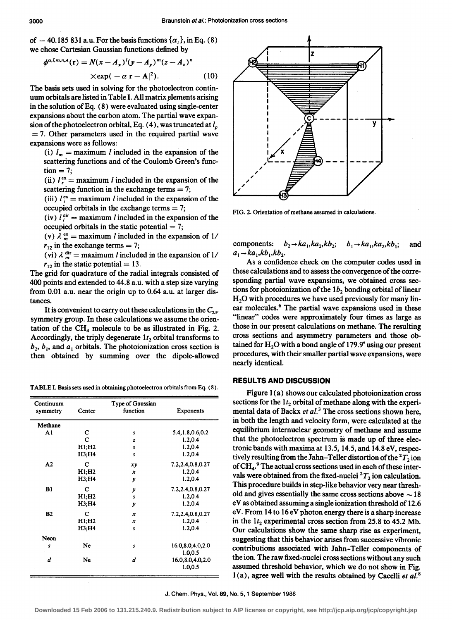of - 40.185 831 a.u. For the basis functions  $\{\alpha_i\}$ , in Eq. (8) we chose Cartesian Gaussian functions defined by

$$
\phi^{\alpha,l,m,n,A}(\mathbf{r}) = N(x - A_x)^l (y - A_y)^m (z - A_z)^n
$$
  
× $\exp(-\alpha |\mathbf{r} - \mathbf{A}|^2).$  (10)

The basis sets used in solving for the photoelectron continuum orbitals are listed in Table I. All matrix elements arising in the solution of Eq. ( 8) were evaluated using single-center expansions about the carbon atom. The partial wave expansion of the photoelectron orbital, Eq.  $(4)$ , was truncated at  $l_p$  $= 7$ . Other parameters used in the required partial wave expansions were as follows:

(i)  $l_m =$  maximum *l* included in the expansion of the scattering functions and of the Coulomb Green's func- $\text{tion} = 7$ ;

(ii)  $l_i^{\text{ex}} =$  maximum *l* included in the expansion of the scattering function in the exchange terms  $= 7$ ;

(iii)  $I_i^{\text{ex}} =$  maximum *l* included in the expansion of the occupied orbitals in the exchange terms  $= 7$ ;

(iv)  $I_i^{\text{dir}} =$  maximum *l* included in the expansion of the occupied orbitals in the static potential  $= 7$ ;

(v)  $\lambda_m^{\text{ex}} = \text{maximum } l \text{ included in the expansion of } 1/2$  $r_{12}$  in the exchange terms = 7;

(vi)  $\lambda \frac{di}{m}$  = maximum *l* included in the expansion of 1/  $r_{12}$  in the static potential = 13.

The grid for quadrature of the radial integrals consisted of 400 points and extended to 44.8 a.u. with a step size varying from 0.01 a.u. near the origin up to 0.64 a.u. at larger distances.

It is convenient to carry out these calculations in the  $C_{2V}$ symmetry group. In these calculations we assume the orientation of the  $CH<sub>4</sub>$  molecule to be as illustrated in Fig. 2. Accordingly, the triply degenerate  $1t_2$  orbital transforms to  $b_2$ ,  $b_1$ , and  $a_1$  orbitals. The photoionization cross section is then obtained by summing over the dipole-allowed

TABLE I. Basis sets used in obtaining photoelectron orbitals from Eq. ( 8).

| Continuum<br>symmetry | Center | Type of Gaussian<br>function | Exponents          |
|-----------------------|--------|------------------------------|--------------------|
| Methane               |        |                              |                    |
| A1                    | С      | s                            | 5.4, 1.8, 0.6, 0.2 |
|                       | C      | z                            | 1.2.0.4            |
|                       | H1: H2 | s                            | 1.2,0.4            |
|                       | H3;H4  | s                            | 1.2.0.4            |
| A <sub>2</sub>        | С      | xy                           | 7.2,2.4,0.8,0.27   |
|                       | H1; H2 | x                            | 1.2,0.4            |
|                       | H3:H4  | y                            | 1.2.0.4            |
| B1                    | C      | y                            | 7.2,2.4,0.8,0.27   |
|                       | H1; H2 | $\overline{s}$               | 1.2,0.4            |
|                       | H3:H4  | y                            | 1.2.0.4            |
| B2                    | C      | x                            | 7.2,2.4,0.8,0.27   |
|                       | H1:H2  | x                            | 1.2.0.4            |
|                       | H3:H4  | $\boldsymbol{s}$             | 1.2.0.4            |
| Neon                  |        |                              |                    |
| S                     | Ne     | s                            | 16.0,8.0,4.0,2.0   |
|                       |        |                              | 1.0.0.5            |
| d                     | Ne     | d                            | 16.0,8.0,4.0,2.0   |
|                       |        |                              | 1.0,0.5            |



FIG. 2. Orientation of methane assumed in calculations.

components:  $b_2 \rightarrow ka_1, ka_2, kb_2$ ;  $b_1 \rightarrow ka_1, ka_2, kb_1$ ; and  $a_1 \rightarrow ka_1,kb_1,kb_2$ .

As a confidence check on the computer codes used in these calculations and to assess the convergence of the corresponding partial wave expansions, we obtained cross sections for photoionization of the  $1b_2$  bonding orbital of linear  $H<sub>2</sub>O$  with procedures we have used previously for many linear molecules.<sup>6</sup> The partial wave expansions used in these "linear" codes were approximately four times as large as those in our present calculations on methane. The resulting cross sections and asymmetry parameters and those obtained for  $H_2O$  with a bond angle of 179.9° using our present procedures, with their smaller partial wave expansions, were nearly identical.

# **RESULTS AND DISCUSSION**

Figure 1 (a) shows our calculated photoionization cross sections for the  $1t_2$  orbital of methane along with the experimental data of Backx *et al.*<sup>3</sup> The cross sections shown here, in both the length and velocity form, were calculated at the equilibrium internuclear geometry of methane and assume that the photoelectron spectrum is made up of three electronic bands with maxima at 13.5, 14.5, and 14.8 eV, respectively resulting from the Jahn–Teller distortion of the  ${}^{2}T_{2}$  ion of  $\text{CH}_4$ .<sup>9</sup> The actual cross sections used in each of these intervals were obtained from the fixed-nuclei  ${}^{2}T_{2}$  ion calculation. This procedure builds in step-like behavior very near threshold and gives essentially the same cross sections above  $\sim$  18 eV as obtained assuming a single ionization threshold of 12.6 eV. From 14 to 16 eV photon energy there is a sharp increase in the  $1t_2$  experimental cross section from 25.8 to 45.2 Mb. Our calculations show the same sharp rise as experiment, suggesting that this behavior arises from successive vibronic contributions associated with Jahn-Teller components of the ion. The raw fixed-nuclei cross sections without any such assumed threshold behavior, which we do not show in Fig. 1 (a), agree well with the results obtained by Cacelli *et a/.* <sup>8</sup>